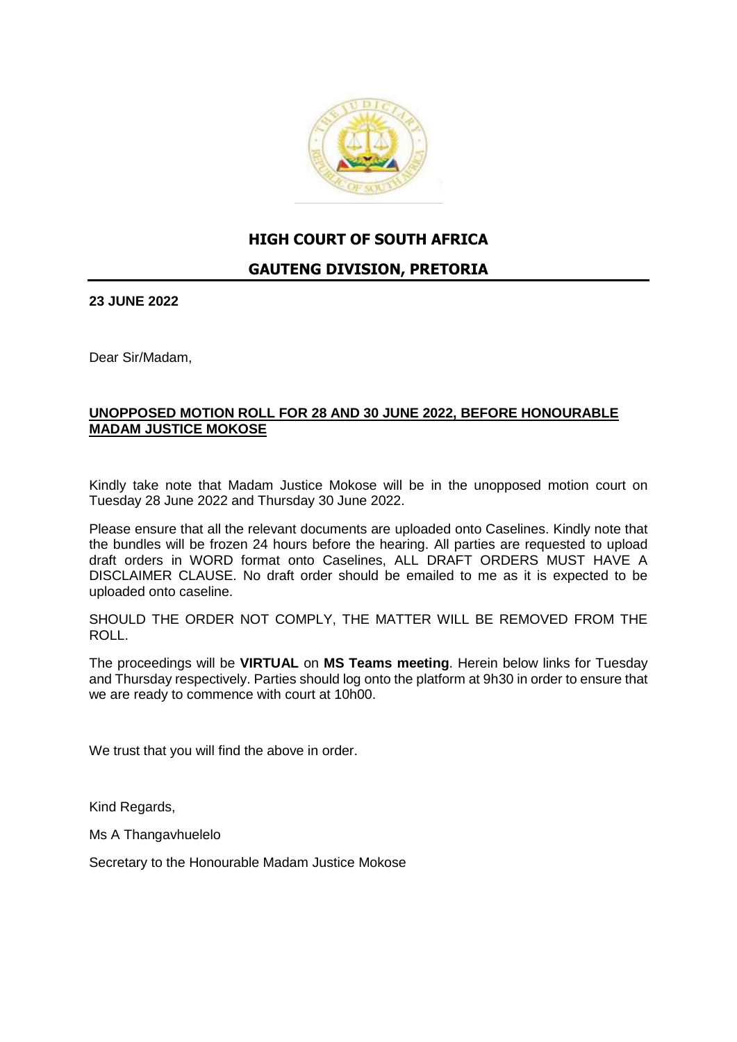

#### **HIGH COURT OF SOUTH AFRICA**

#### **GAUTENG DIVISION, PRETORIA**

**23 JUNE 2022**

Dear Sir/Madam,

#### **UNOPPOSED MOTION ROLL FOR 28 AND 30 JUNE 2022, BEFORE HONOURABLE MADAM JUSTICE MOKOSE**

Kindly take note that Madam Justice Mokose will be in the unopposed motion court on Tuesday 28 June 2022 and Thursday 30 June 2022.

Please ensure that all the relevant documents are uploaded onto Caselines. Kindly note that the bundles will be frozen 24 hours before the hearing. All parties are requested to upload draft orders in WORD format onto Caselines, ALL DRAFT ORDERS MUST HAVE A DISCLAIMER CLAUSE. No draft order should be emailed to me as it is expected to be uploaded onto caseline.

SHOULD THE ORDER NOT COMPLY, THE MATTER WILL BE REMOVED FROM THE ROLL.

The proceedings will be **VIRTUAL** on **MS Teams meeting**. Herein below links for Tuesday and Thursday respectively. Parties should log onto the platform at 9h30 in order to ensure that we are ready to commence with court at 10h00.

We trust that you will find the above in order.

Kind Regards,

Ms A Thangavhuelelo

Secretary to the Honourable Madam Justice Mokose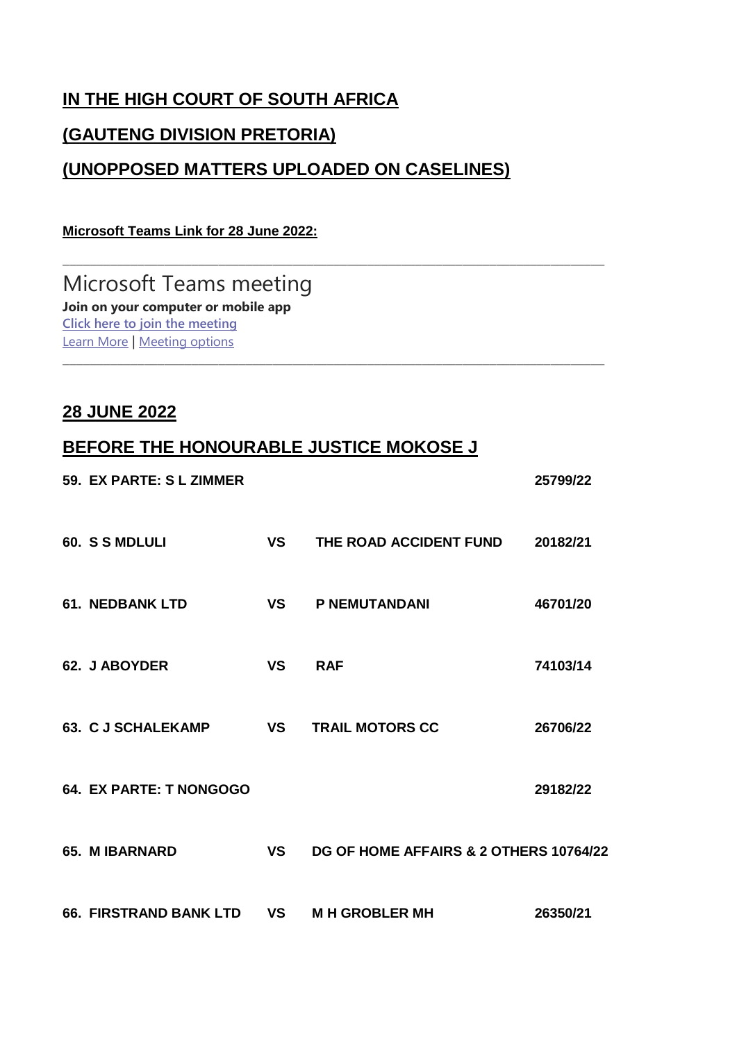# **IN THE HIGH COURT OF SOUTH AFRICA**

## **(GAUTENG DIVISION PRETORIA)**

## **(UNOPPOSED MATTERS UPLOADED ON CASELINES)**

\_\_\_\_\_\_\_\_\_\_\_\_\_\_\_\_\_\_\_\_\_\_\_\_\_\_\_\_\_\_\_\_\_\_\_\_\_\_\_\_\_\_\_\_\_\_\_\_\_\_\_\_\_\_\_\_\_\_\_\_\_\_\_\_\_\_\_\_\_\_\_\_\_\_\_\_\_\_\_\_

#### **Microsoft Teams Link for 28 June 2022:**

Microsoft Teams meeting **Join on your computer or mobile app [Click here to join the meeting](https://teams.microsoft.com/l/meetup-join/19%3ameeting_MzQzMzc2YjUtZjJmOS00YWY0LWI1ZjYtMWRlZTY1MzZiNmNk%40thread.v2/0?context=%7b%22Tid%22%3a%22c83e2aea-897a-4fe9-ba0c-12e02388f238%22%2c%22Oid%22%3a%22c9e7713a-69eb-4625-851e-4c76b3efe268%22%7d)** [Learn More](https://aka.ms/JoinTeamsMeeting) | [Meeting options](https://teams.microsoft.com/meetingOptions/?organizerId=c9e7713a-69eb-4625-851e-4c76b3efe268&tenantId=c83e2aea-897a-4fe9-ba0c-12e02388f238&threadId=19_meeting_MzQzMzc2YjUtZjJmOS00YWY0LWI1ZjYtMWRlZTY1MzZiNmNk@thread.v2&messageId=0&language=en-US) \_\_\_\_\_\_\_\_\_\_\_\_\_\_\_\_\_\_\_\_\_\_\_\_\_\_\_\_\_\_\_\_\_\_\_\_\_\_\_\_\_\_\_\_\_\_\_\_\_\_\_\_\_\_\_\_\_\_\_\_\_\_\_\_\_\_\_\_\_\_\_\_\_\_\_\_\_\_\_\_

### **28 JUNE 2022**

## **BEFORE THE HONOURABLE JUSTICE MOKOSE J**

| 59. EX PARTE: S L ZIMMER      |           |                                        | 25799/22 |
|-------------------------------|-----------|----------------------------------------|----------|
| 60. S S MDLULI                | <b>VS</b> | THE ROAD ACCIDENT FUND                 | 20182/21 |
| <b>61. NEDBANK LTD</b>        | <b>VS</b> | <b>P NEMUTANDANI</b>                   | 46701/20 |
| 62. J ABOYDER                 | <b>VS</b> | <b>RAF</b>                             | 74103/14 |
| 63. C J SCHALEKAMP            | <b>VS</b> | <b>TRAIL MOTORS CC</b>                 | 26706/22 |
| 64. EX PARTE: T NONGOGO       |           |                                        | 29182/22 |
| <b>65. MIBARNARD</b>          | <b>VS</b> | DG OF HOME AFFAIRS & 2 OTHERS 10764/22 |          |
| <b>66. FIRSTRAND BANK LTD</b> | <b>VS</b> | <b>MH GROBLER MH</b>                   | 26350/21 |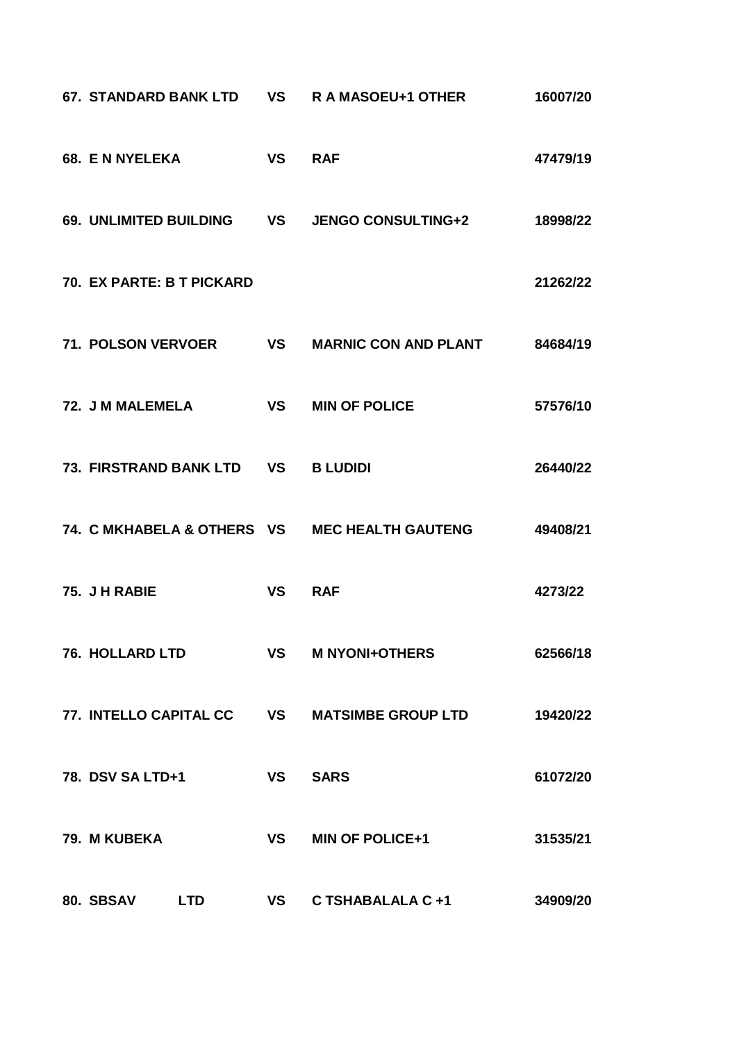|                                               |           | 67. STANDARD BANK LTD VS R A MASOEU+1 OTHER         | 16007/20 |
|-----------------------------------------------|-----------|-----------------------------------------------------|----------|
| 68. E N NYELEKA                               | <b>VS</b> | <b>RAF</b>                                          | 47479/19 |
|                                               |           | 69. UNLIMITED BUILDING VS JENGO CONSULTING+2        | 18998/22 |
| 70. EX PARTE: B T PICKARD                     |           |                                                     | 21262/22 |
|                                               |           | 71. POLSON VERVOER VS MARNIC CON AND PLANT 84684/19 |          |
| 72. J M MALEMELA                              | <b>VS</b> | <b>MIN OF POLICE</b>                                | 57576/10 |
| 73. FIRSTRAND BANK LTD VS B LUDIDI            |           |                                                     | 26440/22 |
| 74. C MKHABELA & OTHERS VS MEC HEALTH GAUTENG |           |                                                     | 49408/21 |
| 75. J H RABIE                                 | <b>VS</b> | <b>RAF</b>                                          | 4273/22  |
| <b>76. HOLLARD LTD</b>                        |           | <b>VS M NYONI+OTHERS</b>                            | 62566/18 |
|                                               |           | 77. INTELLO CAPITAL CC VS MATSIMBE GROUP LTD        | 19420/22 |
| 78. DSV SA LTD+1                              | VS SARS   |                                                     | 61072/20 |
| 79. M KUBEKA                                  |           | VS MIN OF POLICE+1                                  | 31535/21 |
| 80. SBSAV LTD                                 |           | VS C TSHABALALA C +1                                | 34909/20 |